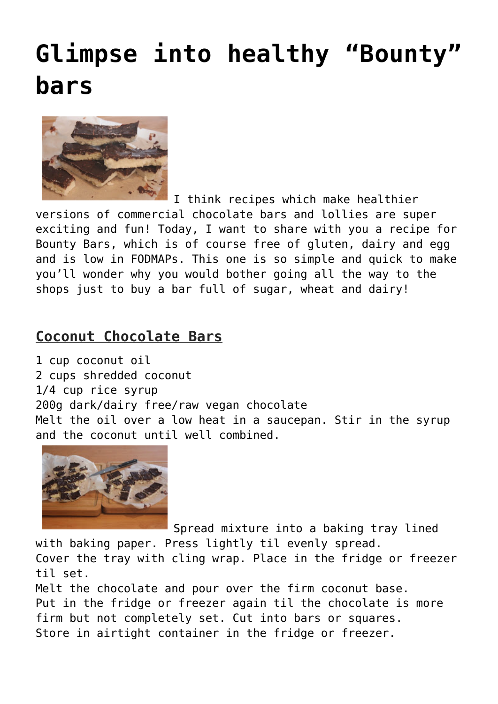## **[Glimpse into healthy "Bounty"](https://www.glimpsinggembles.com/2014/08/08/glimpse-into-healthy-bounty-bars/) [bars](https://www.glimpsinggembles.com/2014/08/08/glimpse-into-healthy-bounty-bars/)**



I think recipes which make healthier

versions of commercial chocolate bars and lollies are super exciting and fun! Today, I want to share with you a recipe for Bounty Bars, which is of course free of gluten, dairy and egg and is low in FODMAPs. This one is so simple and quick to make you'll wonder why you would bother going all the way to the shops just to buy a bar full of sugar, wheat and dairy!

## **Coconut Chocolate Bars**

1 cup coconut oil 2 cups shredded coconut 1/4 cup rice syrup 200g dark/dairy free/raw vegan chocolate Melt the oil over a low heat in a saucepan. Stir in the syrup and the coconut until well combined.



Spread mixture into a baking tray lined

with baking paper. Press lightly til evenly spread.

Cover the tray with cling wrap. Place in the fridge or freezer til set.

Melt the chocolate and pour over the firm coconut base. Put in the fridge or freezer again til the chocolate is more firm but not completely set. Cut into bars or squares. Store in airtight container in the fridge or freezer.